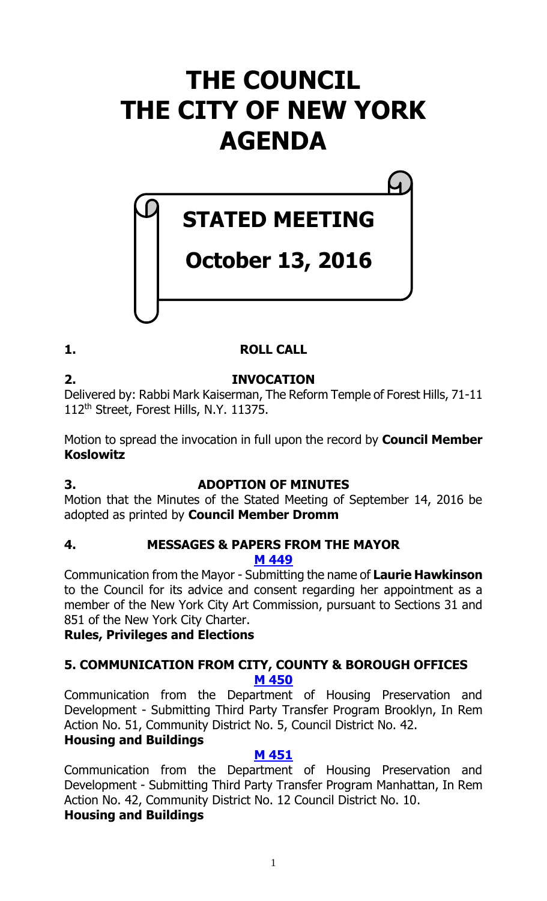# **THE COUNCIL THE CITY OF NEW YORK AGENDA**

# **STATED MEETING**

# **October 13, 2016**

# **1. ROLL CALL**

# **2. INVOCATION**

Delivered by: Rabbi Mark Kaiserman, The Reform Temple of Forest Hills, 71-11 112th Street, Forest Hills, N.Y. 11375.

Motion to spread the invocation in full upon the record by **Council Member Koslowitz**

# **3. ADOPTION OF MINUTES**

Motion that the Minutes of the Stated Meeting of September 14, 2016 be adopted as printed by **Council Member Dromm**

## **4. MESSAGES & PAPERS FROM THE MAYOR M [449](http://legistar.council.nyc.gov/LegislationDetail.aspx?ID=2857926&GUID=AA0482CC-D925-4DC6-8B9E-99B1D9227FF7&Options=ID%7c&Search=)**

Communication from the Mayor - Submitting the name of **Laurie Hawkinson** to the Council for its advice and consent regarding her appointment as a member of the New York City Art Commission, pursuant to Sections 31 and 851 of the New York City Charter.

**Rules, Privileges and Elections**

# **5. COMMUNICATION FROM CITY, COUNTY & BOROUGH OFFICES M [450](http://legistar.council.nyc.gov/LegislationDetail.aspx?ID=2858164&GUID=24E2AAFD-43D1-4F0B-9E8B-60BABD887E68&Options=ID|&Search=)**

Communication from the Department of Housing Preservation and Development - Submitting Third Party Transfer Program Brooklyn, In Rem Action No. 51, Community District No. 5, Council District No. 42.

# **Housing and Buildings**

# **M [451](http://legistar.council.nyc.gov/LegislationDetail.aspx?ID=2858165&GUID=4D59A488-128A-4712-9A9A-0D0141E6F570&Options=ID|&Search=)**

Communication from the Department of Housing Preservation and Development - Submitting Third Party Transfer Program Manhattan, In Rem Action No. 42, Community District No. 12 Council District No. 10.

# **Housing and Buildings**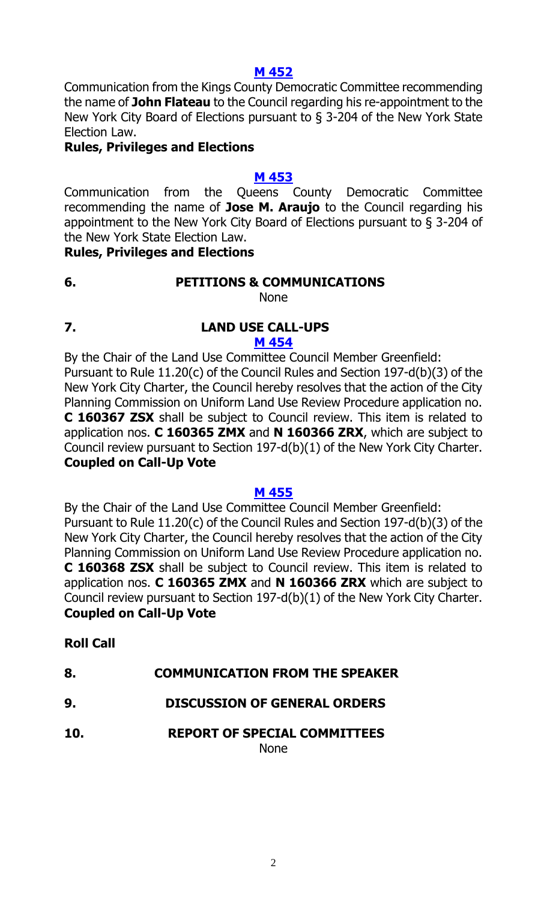#### **M [452](http://legistar.council.nyc.gov/LegislationDetail.aspx?ID=2858163&GUID=9591DA05-B2F7-4CA0-8013-CF4E3FCE8574&Options=ID|&Search=)**

Communication from the Kings County Democratic Committee recommending the name of **John Flateau** to the Council regarding his re-appointment to the New York City Board of Elections pursuant to § 3-204 of the New York State Election Law.

#### **Rules, Privileges and Elections**

#### **M [453](http://legistar.council.nyc.gov/LegislationDetail.aspx?ID=2858167&GUID=3528028A-1122-478C-A42C-F476FA721674&Options=ID|&Search=)**

Communication from the Queens County Democratic Committee recommending the name of **Jose M. Araujo** to the Council regarding his appointment to the New York City Board of Elections pursuant to § 3-204 of the New York State Election Law.

#### **Rules, Privileges and Elections**

**6. PETITIONS & COMMUNICATIONS**

None

**7. LAND USE CALL-UPS M [454](http://legistar.council.nyc.gov/LegislationDetail.aspx?ID=2858166&GUID=7175411E-83FD-4328-AC5F-7CF17840E1BB&Options=ID|&Search=)**

By the Chair of the Land Use Committee Council Member Greenfield: Pursuant to Rule 11.20(c) of the Council Rules and Section 197-d(b)(3) of the New York City Charter, the Council hereby resolves that the action of the City Planning Commission on Uniform Land Use Review Procedure application no. **C 160367 ZSX** shall be subject to Council review. This item is related to application nos. **C 160365 ZMX** and **N 160366 ZRX**, which are subject to Council review pursuant to Section 197-d(b)(1) of the New York City Charter. **Coupled on Call-Up Vote**

#### **M [455](http://legistar.council.nyc.gov/LegislationDetail.aspx?ID=2858176&GUID=88DA63B8-483B-4AC5-A74E-A63BBDC645B1&Options=ID|&Search=)**

By the Chair of the Land Use Committee Council Member Greenfield: Pursuant to Rule 11.20(c) of the Council Rules and Section 197-d(b)(3) of the New York City Charter, the Council hereby resolves that the action of the City Planning Commission on Uniform Land Use Review Procedure application no. **C 160368 ZSX** shall be subject to Council review. This item is related to application nos. **C 160365 ZMX** and **N 160366 ZRX** which are subject to Council review pursuant to Section 197-d(b)(1) of the New York City Charter. **Coupled on Call-Up Vote**

## **Roll Call**

- **8. COMMUNICATION FROM THE SPEAKER**
- **9. DISCUSSION OF GENERAL ORDERS**
- **10. REPORT OF SPECIAL COMMITTEES** None

2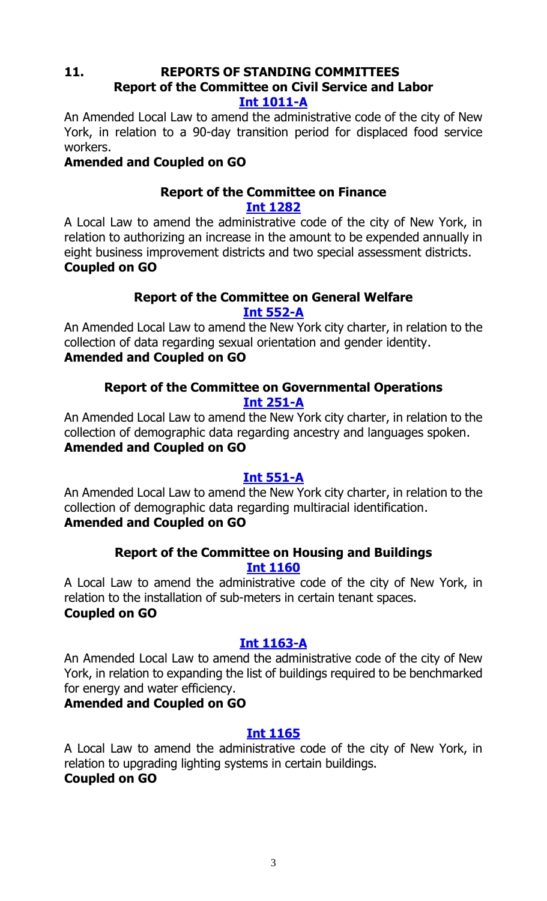#### **11. REPORTS OF STANDING COMMITTEES Report of the Committee on Civil Service and Labor [Int 1011-A](http://legistar.council.nyc.gov/LegislationDetail.aspx?ID=2516670&GUID=32017DE4-74C4-4A3F-AEC5-4BE115B7AC13&Options=Advanced&Search=)**

An Amended Local Law to amend the administrative code of the city of New York, in relation to a 90-day transition period for displaced food service workers.

# **Amended and Coupled on GO**

#### **Report of the Committee on Finance [Int 1282](http://legistar.council.nyc.gov/LegislationDetail.aspx?ID=2841493&GUID=8E6D1AFD-CB1C-4D88-9357-0B813C115671&Options=Advanced&Search=)**

A Local Law to amend the administrative code of the city of New York, in relation to authorizing an increase in the amount to be expended annually in eight business improvement districts and two special assessment districts. **Coupled on GO**

#### **Report of the Committee on General Welfare [Int 552-A](http://legistar.council.nyc.gov/LegislationDetail.aspx?ID=2073850&GUID=BA662CC7-718C-4363-9766-4CADA1B771CD&Options=Advanced&Search=)**

An Amended Local Law to amend the New York city charter, in relation to the collection of data regarding sexual orientation and gender identity. **Amended and Coupled on GO**

# **Report of the Committee on Governmental Operations Int [251-A](http://legistar.council.nyc.gov/LegislationDetail.aspx?ID=1709693&GUID=DF6A0998-A600-43B1-96FD-8C3F91F3A7B5&Options=Advanced&Search=)**

An Amended Local Law to amend the New York city charter, in relation to the collection of demographic data regarding ancestry and languages spoken. **Amended and Coupled on GO**

# **[Int 551-A](http://legistar.council.nyc.gov/LegislationDetail.aspx?ID=2073846&GUID=C2920C8B-B7ED-46C2-AFE7-A282C295D357&Options=Advanced&Search=)**

An Amended Local Law to amend the New York city charter, in relation to the collection of demographic data regarding multiracial identification. **Amended and Coupled on GO**

#### **Report of the Committee on Housing and Buildings [Int 1160](http://legistar.council.nyc.gov/LegislationDetail.aspx?ID=2693992&GUID=876F7164-3359-4398-AADF-11E141D3A1F5&Options=Advanced&Search=)**

A Local Law to amend the administrative code of the city of New York, in relation to the installation of sub-meters in certain tenant spaces. **Coupled on GO**

# **Int [1163-A](http://legistar.council.nyc.gov/LegislationDetail.aspx?ID=2693991&GUID=A327670F-8059-4202-B846-D08F8A791771&Options=Advanced&Search=)**

An Amended Local Law to amend the administrative code of the city of New York, in relation to expanding the list of buildings required to be benchmarked for energy and water efficiency.

## **Amended and Coupled on GO**

# **[Int 1165](http://legistar.council.nyc.gov/LegislationDetail.aspx?ID=2694010&GUID=FEBBCC18-E217-4324-8914-1206C6F65A10&Options=Advanced&Search=)**

A Local Law to amend the administrative code of the city of New York, in relation to upgrading lighting systems in certain buildings. **Coupled on GO**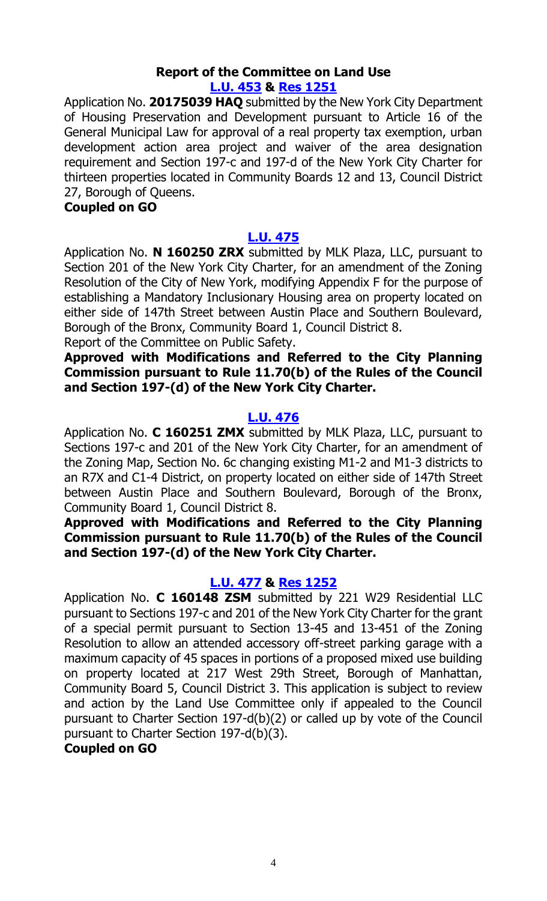#### **Report of the Committee on Land Use [L.U. 453](http://legistar.council.nyc.gov/LegislationDetail.aspx?ID=2813066&GUID=EB9E1046-E0AA-49F1-A542-1C0C051C6478&Options=Advanced&Search=) & Res [1251](http://legistar.council.nyc.gov/LegislationDetail.aspx?ID=2857866&GUID=A143FE05-0C2D-4CC3-AFA2-9278F838CED7&Options=ID|&Search=)**

Application No. **20175039 HAQ** submitted by the New York City Department of Housing Preservation and Development pursuant to Article 16 of the General Municipal Law for approval of a real property tax exemption, urban development action area project and waiver of the area designation requirement and Section 197-c and 197-d of the New York City Charter for thirteen properties located in Community Boards 12 and 13, Council District 27, Borough of Queens.

#### **Coupled on GO**

#### **[L.U. 475](http://legistar.council.nyc.gov/LegislationDetail.aspx?ID=2845422&GUID=31912A57-352E-422B-803B-AE211F933EB2&Options=Advanced&Search=)**

Application No. **N 160250 ZRX** submitted by MLK Plaza, LLC, pursuant to Section 201 of the New York City Charter, for an amendment of the Zoning Resolution of the City of New York, modifying Appendix F for the purpose of establishing a Mandatory Inclusionary Housing area on property located on either side of 147th Street between Austin Place and Southern Boulevard, Borough of the Bronx, Community Board 1, Council District 8.

Report of the Committee on Public Safety.

#### **Approved with Modifications and Referred to the City Planning Commission pursuant to Rule 11.70(b) of the Rules of the Council and Section 197-(d) of the New York City Charter.**

#### **[L.U. 476](http://legistar.council.nyc.gov/LegislationDetail.aspx?ID=2845423&GUID=A69F1C81-1BFD-475C-B85F-DD29C8B8EF16&Options=Advanced&Search=)**

Application No. **C 160251 ZMX** submitted by MLK Plaza, LLC, pursuant to Sections 197-c and 201 of the New York City Charter, for an amendment of the Zoning Map, Section No. 6c changing existing M1-2 and M1-3 districts to an R7X and C1-4 District, on property located on either side of 147th Street between Austin Place and Southern Boulevard, Borough of the Bronx, Community Board 1, Council District 8.

#### **Approved with Modifications and Referred to the City Planning Commission pursuant to Rule 11.70(b) of the Rules of the Council and Section 197-(d) of the New York City Charter.**

#### **[L.U. 477](http://legistar.council.nyc.gov/LegislationDetail.aspx?ID=2845425&GUID=5A0B69B7-48E4-4D8B-9B65-747D7CD6F5DF&Options=Advanced&Search=) & Res [1252](http://legistar.council.nyc.gov/LegislationDetail.aspx?ID=2857869&GUID=C698A7E8-905E-450E-94CA-8550FE088618&Options=ID|&Search=)**

Application No. **C 160148 ZSM** submitted by 221 W29 Residential LLC pursuant to Sections 197-c and 201 of the New York City Charter for the grant of a special permit pursuant to Section 13-45 and 13-451 of the Zoning Resolution to allow an attended accessory off-street parking garage with a maximum capacity of 45 spaces in portions of a proposed mixed use building on property located at 217 West 29th Street, Borough of Manhattan, Community Board 5, Council District 3. This application is subject to review and action by the Land Use Committee only if appealed to the Council pursuant to Charter Section 197-d(b)(2) or called up by vote of the Council pursuant to Charter Section 197-d(b)(3).

#### **Coupled on GO**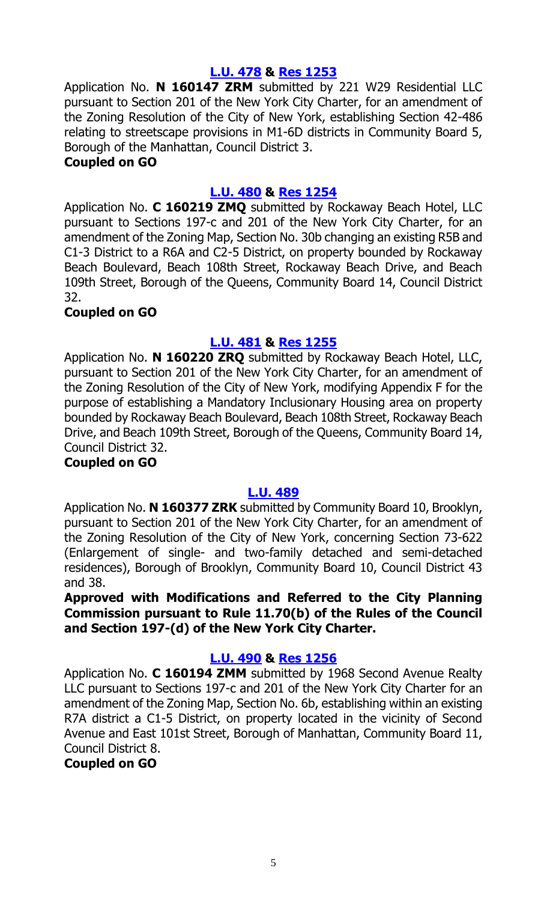#### **[L.U. 478](http://legistar.council.nyc.gov/LegislationDetail.aspx?ID=2845426&GUID=1AD05EB1-FA4B-4013-A165-AB085F19FA71&Options=Advanced&Search=) & Res [1253](http://legistar.council.nyc.gov/LegislationDetail.aspx?ID=2857873&GUID=214F39C3-29FA-4CA5-B597-BA7528688BE0&Options=ID|&Search=)**

Application No. **N 160147 ZRM** submitted by 221 W29 Residential LLC pursuant to Section 201 of the New York City Charter, for an amendment of the Zoning Resolution of the City of New York, establishing Section 42-486 relating to streetscape provisions in M1-6D districts in Community Board 5, Borough of the Manhattan, Council District 3.

#### **Coupled on GO**

#### **[L.U. 480](http://legistar.council.nyc.gov/LegislationDetail.aspx?ID=2845429&GUID=6BE164DA-9A70-4617-8708-EE1BEB2B7F25&Options=Advanced&Search=) & Res [1254](http://legistar.council.nyc.gov/LegislationDetail.aspx?ID=2857877&GUID=99E4AE82-6590-4847-9648-BD9BE638DAA5&Options=ID|&Search=)**

Application No. **C 160219 ZMQ** submitted by Rockaway Beach Hotel, LLC pursuant to Sections 197-c and 201 of the New York City Charter, for an amendment of the Zoning Map, Section No. 30b changing an existing R5B and C1-3 District to a R6A and C2-5 District, on property bounded by Rockaway Beach Boulevard, Beach 108th Street, Rockaway Beach Drive, and Beach 109th Street, Borough of the Queens, Community Board 14, Council District 32.

#### **Coupled on GO**

#### **[L.U. 481](http://legistar.council.nyc.gov/LegislationDetail.aspx?ID=2845430&GUID=F73EB92A-5DC5-47D7-9C7F-4AE45BDFDD7F&Options=Advanced&Search=) & Res [1255](http://legistar.council.nyc.gov/LegislationDetail.aspx?ID=2857878&GUID=DFEE4F2B-5589-4383-9213-34A39E10AFD3&Options=ID|&Search=)**

Application No. **N 160220 ZRQ** submitted by Rockaway Beach Hotel, LLC, pursuant to Section 201 of the New York City Charter, for an amendment of the Zoning Resolution of the City of New York, modifying Appendix F for the purpose of establishing a Mandatory Inclusionary Housing area on property bounded by Rockaway Beach Boulevard, Beach 108th Street, Rockaway Beach Drive, and Beach 109th Street, Borough of the Queens, Community Board 14, Council District 32.

## **Coupled on GO**

## **[L.U. 489](http://legistar.council.nyc.gov/LegislationDetail.aspx?ID=2845438&GUID=5E3B3CEB-B23D-49AB-BA75-1109AA1F9281&Options=Advanced&Search=)**

Application No. **N 160377 ZRK** submitted by Community Board 10, Brooklyn, pursuant to Section 201 of the New York City Charter, for an amendment of the Zoning Resolution of the City of New York, concerning Section 73-622 (Enlargement of single- and two-family detached and semi-detached residences), Borough of Brooklyn, Community Board 10, Council District 43 and 38.

**Approved with Modifications and Referred to the City Planning Commission pursuant to Rule 11.70(b) of the Rules of the Council and Section 197-(d) of the New York City Charter.**

#### **[L.U. 490](http://legistar.council.nyc.gov/LegislationDetail.aspx?ID=2845439&GUID=0ADC2C60-A802-497A-8020-1CF6096B7A75&Options=Advanced&Search=) & Res [1256](http://legistar.council.nyc.gov/LegislationDetail.aspx?ID=2857880&GUID=136EC537-75A4-4378-AB4B-1F92D3625A32&Options=ID|&Search=)**

Application No. **C 160194 ZMM** submitted by 1968 Second Avenue Realty LLC pursuant to Sections 197-c and 201 of the New York City Charter for an amendment of the Zoning Map, Section No. 6b, establishing within an existing R7A district a C1-5 District, on property located in the vicinity of Second Avenue and East 101st Street, Borough of Manhattan, Community Board 11, Council District 8.

**Coupled on GO**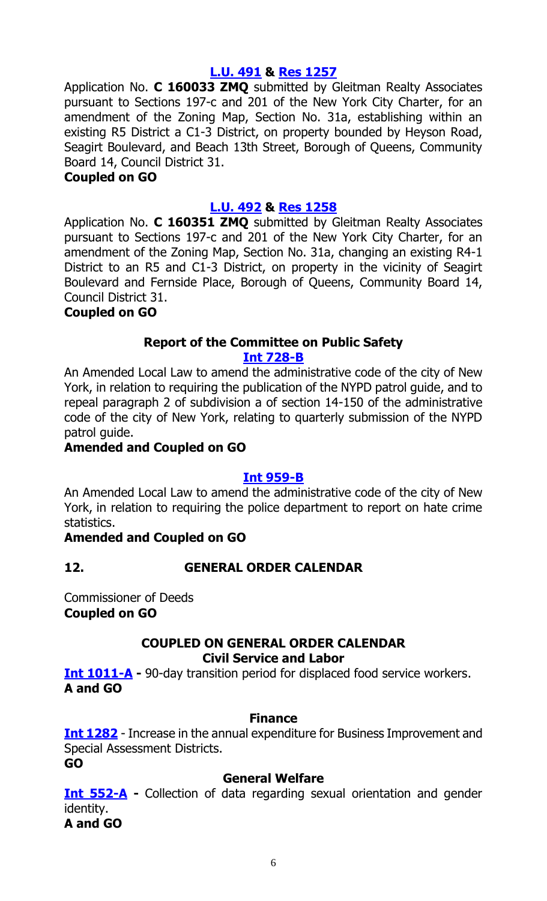#### **[L.U. 491](http://legistar.council.nyc.gov/LegislationDetail.aspx?ID=2845440&GUID=9440D1BB-903C-4D74-B5A9-50F36CB64A66&Options=Advanced&Search=) & Res [1257](http://legistar.council.nyc.gov/LegislationDetail.aspx?ID=2857884&GUID=42B38CBB-1164-4759-9A8E-4DC0006D5C17&Options=ID|&Search=)**

Application No. **C 160033 ZMQ** submitted by Gleitman Realty Associates pursuant to Sections 197-c and 201 of the New York City Charter, for an amendment of the Zoning Map, Section No. 31a, establishing within an existing R5 District a C1-3 District, on property bounded by Heyson Road, Seagirt Boulevard, and Beach 13th Street, Borough of Queens, Community Board 14, Council District 31.

#### **Coupled on GO**

#### **[L.U. 492](http://legistar.council.nyc.gov/LegislationDetail.aspx?ID=2845441&GUID=89259CD6-0019-442F-85A5-DEA2790BD7FC&Options=Advanced&Search=) & Res [1258](http://legistar.council.nyc.gov/LegislationDetail.aspx?ID=2857887&GUID=072439F2-A26D-4329-BFE5-9605F54896CE&Options=ID|&Search=)**

Application No. **C 160351 ZMQ** submitted by Gleitman Realty Associates pursuant to Sections 197-c and 201 of the New York City Charter, for an amendment of the Zoning Map, Section No. 31a, changing an existing R4-1 District to an R5 and C1-3 District, on property in the vicinity of Seagirt Boulevard and Fernside Place, Borough of Queens, Community Board 14, Council District 31.

#### **Coupled on GO**

#### **Report of the Committee on Public Safety [Int 728-B](http://legistar.council.nyc.gov/LegislationDetail.aspx?ID=2253285&GUID=9AB6D2CA-2AC6-42A0-832A-45662D092016&Options=Advanced&Search=)**

An Amended Local Law to amend the administrative code of the city of New York, in relation to requiring the publication of the NYPD patrol guide, and to repeal paragraph 2 of subdivision a of section 14-150 of the administrative code of the city of New York, relating to quarterly submission of the NYPD patrol guide.

#### **Amended and Coupled on GO**

#### **[Int 959-B](http://legistar.council.nyc.gov/LegislationDetail.aspx?ID=2478381&GUID=9EFD230F-B5DF-4C0E-BAEC-1C384B540689&Options=Advanced&Search=)**

An Amended Local Law to amend the administrative code of the city of New York, in relation to requiring the police department to report on hate crime statistics.

#### **Amended and Coupled on GO**

#### **12. GENERAL ORDER CALENDAR**

Commissioner of Deeds **Coupled on GO**

#### **COUPLED ON GENERAL ORDER CALENDAR Civil Service and Labor**

**[Int 1011-A](http://legistar.council.nyc.gov/LegislationDetail.aspx?ID=2516670&GUID=32017DE4-74C4-4A3F-AEC5-4BE115B7AC13&Options=Advanced&Search=) -** 90-day transition period for displaced food service workers. **A and GO**

#### **Finance**

**[Int 1282](http://legistar.council.nyc.gov/LegislationDetail.aspx?ID=2841493&GUID=8E6D1AFD-CB1C-4D88-9357-0B813C115671&Options=Advanced&Search=)** - Increase in the annual expenditure for Business Improvement and Special Assessment Districts.

**GO**

#### **General Welfare**

**[Int 552-A](http://legistar.council.nyc.gov/LegislationDetail.aspx?ID=2073850&GUID=BA662CC7-718C-4363-9766-4CADA1B771CD&Options=Advanced&Search=) -** Collection of data regarding sexual orientation and gender identity. **A and GO**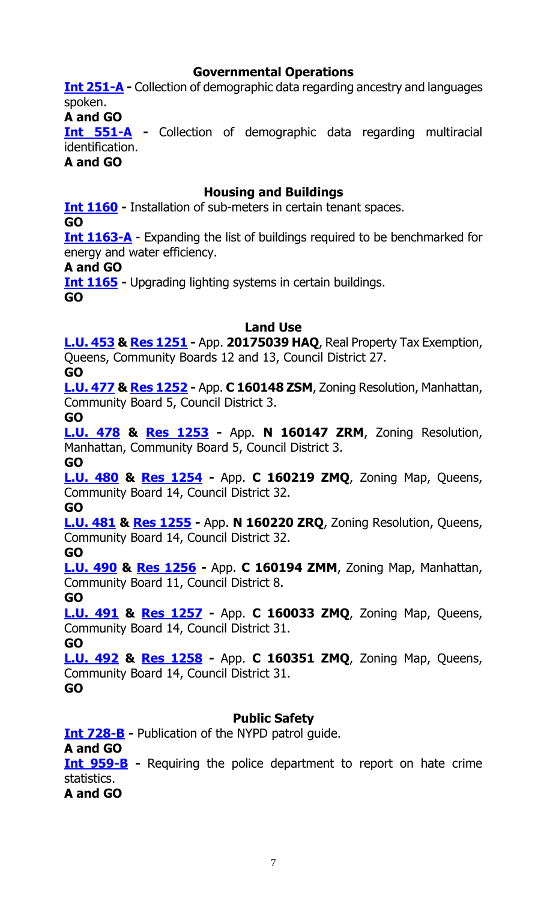#### **Governmental Operations**

**Int [251-A](http://legistar.council.nyc.gov/LegislationDetail.aspx?ID=1709693&GUID=DF6A0998-A600-43B1-96FD-8C3F91F3A7B5&Options=Advanced&Search=) -** Collection of demographic data regarding ancestry and languages spoken.

**A and GO**

**[Int 551-A](http://legistar.council.nyc.gov/LegislationDetail.aspx?ID=2073846&GUID=C2920C8B-B7ED-46C2-AFE7-A282C295D357&Options=Advanced&Search=) -** Collection of demographic data regarding multiracial identification.

**A and GO**

#### **Housing and Buildings**

**[Int 1160](http://legistar.council.nyc.gov/LegislationDetail.aspx?ID=2693992&GUID=876F7164-3359-4398-AADF-11E141D3A1F5&Options=Advanced&Search=) -** Installation of sub-meters in certain tenant spaces.

**GO**

**Int [1163-A](http://legistar.council.nyc.gov/LegislationDetail.aspx?ID=2693991&GUID=A327670F-8059-4202-B846-D08F8A791771&Options=Advanced&Search=)** - Expanding the list of buildings required to be benchmarked for energy and water efficiency.

#### **A and GO**

**[Int 1165](http://legistar.council.nyc.gov/LegislationDetail.aspx?ID=2694010&GUID=FEBBCC18-E217-4324-8914-1206C6F65A10&Options=Advanced&Search=) -** Upgrading lighting systems in certain buildings.

**GO**

#### **Land Use**

**[L.U. 453](http://legistar.council.nyc.gov/LegislationDetail.aspx?ID=2813066&GUID=EB9E1046-E0AA-49F1-A542-1C0C051C6478&Options=Advanced&Search=) & Res [1251](http://legistar.council.nyc.gov/LegislationDetail.aspx?ID=2857866&GUID=A143FE05-0C2D-4CC3-AFA2-9278F838CED7&Options=Advanced&Search=) -** App. **20175039 HAQ**, Real Property Tax Exemption, Queens, Community Boards 12 and 13, Council District 27.

**GO**

**[L.U. 477](http://legistar.council.nyc.gov/LegislationDetail.aspx?ID=2845425&GUID=5A0B69B7-48E4-4D8B-9B65-747D7CD6F5DF&Options=Advanced&Search=) & Res [1252](http://legistar.council.nyc.gov/LegislationDetail.aspx?ID=2857869&GUID=C698A7E8-905E-450E-94CA-8550FE088618&Options=Advanced&Search=) -** App. **C 160148 ZSM**, Zoning Resolution, Manhattan, Community Board 5, Council District 3.

**GO**

**[L.U. 478](http://legistar.council.nyc.gov/LegislationDetail.aspx?ID=2845426&GUID=1AD05EB1-FA4B-4013-A165-AB085F19FA71&Options=Advanced&Search=) & Res [1253](http://legistar.council.nyc.gov/LegislationDetail.aspx?ID=2857873&GUID=214F39C3-29FA-4CA5-B597-BA7528688BE0&Options=Advanced&Search=) -** App. **N 160147 ZRM**, Zoning Resolution, Manhattan, Community Board 5, Council District 3.

**GO**

**[L.U. 480](http://legistar.council.nyc.gov/LegislationDetail.aspx?ID=2845429&GUID=6BE164DA-9A70-4617-8708-EE1BEB2B7F25&Options=Advanced&Search=) & Res [1254](http://legistar.council.nyc.gov/LegislationDetail.aspx?ID=2857877&GUID=99E4AE82-6590-4847-9648-BD9BE638DAA5&Options=Advanced&Search=) -** App. **C 160219 ZMQ**, Zoning Map, Queens, Community Board 14, Council District 32.

**GO**

**[L.U. 481](http://legistar.council.nyc.gov/LegislationDetail.aspx?ID=2845430&GUID=F73EB92A-5DC5-47D7-9C7F-4AE45BDFDD7F&Options=Advanced&Search=) & Res [1255](http://legistar.council.nyc.gov/LegislationDetail.aspx?ID=2857878&GUID=DFEE4F2B-5589-4383-9213-34A39E10AFD3&Options=Advanced&Search=) -** App. **N 160220 ZRQ**, Zoning Resolution, Queens, Community Board 14, Council District 32.

**GO**

**[L.U. 490](http://legistar.council.nyc.gov/LegislationDetail.aspx?ID=2845439&GUID=0ADC2C60-A802-497A-8020-1CF6096B7A75&Options=Advanced&Search=) & Res [1256](http://legistar.council.nyc.gov/LegislationDetail.aspx?ID=2857880&GUID=136EC537-75A4-4378-AB4B-1F92D3625A32&Options=Advanced&Search=) -** App. **C 160194 ZMM**, Zoning Map, Manhattan, Community Board 11, Council District 8.

**GO**

**[L.U. 491](http://legistar.council.nyc.gov/LegislationDetail.aspx?ID=2845440&GUID=9440D1BB-903C-4D74-B5A9-50F36CB64A66&Options=Advanced&Search=) & Res [1257](http://legistar.council.nyc.gov/LegislationDetail.aspx?ID=2857884&GUID=42B38CBB-1164-4759-9A8E-4DC0006D5C17&Options=Advanced&Search=) -** App. **C 160033 ZMQ**, Zoning Map, Queens, Community Board 14, Council District 31.

**GO**

**[L.U. 492](http://legistar.council.nyc.gov/LegislationDetail.aspx?ID=2845441&GUID=89259CD6-0019-442F-85A5-DEA2790BD7FC&Options=Advanced&Search=) & Res [1258](http://legistar.council.nyc.gov/LegislationDetail.aspx?ID=2857887&GUID=072439F2-A26D-4329-BFE5-9605F54896CE&Options=Advanced&Search=) -** App. **C 160351 ZMQ**, Zoning Map, Queens, Community Board 14, Council District 31.

**GO**

# **Public Safety**

**[Int 728-B](http://legistar.council.nyc.gov/LegislationDetail.aspx?ID=2253285&GUID=9AB6D2CA-2AC6-42A0-832A-45662D092016&Options=Advanced&Search=) -** Publication of the NYPD patrol guide.

**A and GO**

**[Int 959-B](http://legistar.council.nyc.gov/LegislationDetail.aspx?ID=2478381&GUID=9EFD230F-B5DF-4C0E-BAEC-1C384B540689&Options=Advanced&Search=) -** Requiring the police department to report on hate crime statistics.

**A and GO**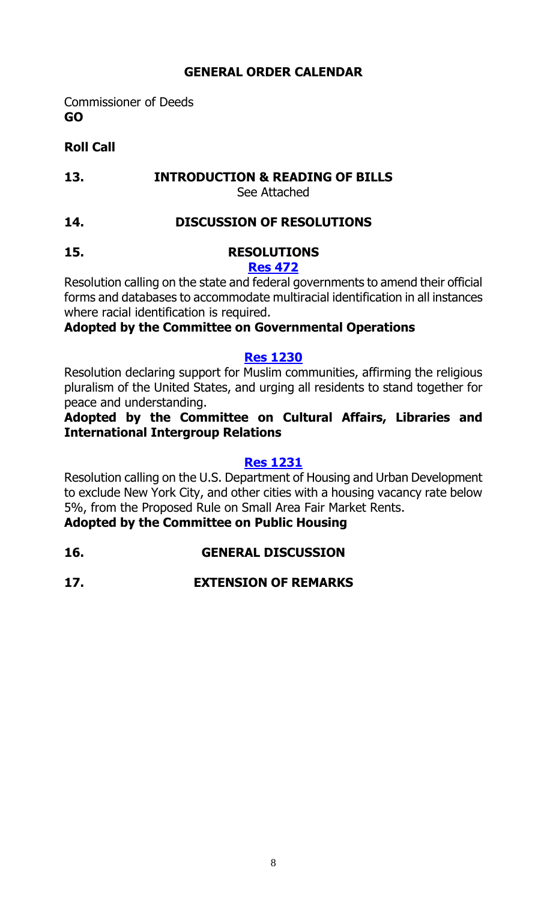# **GENERAL ORDER CALENDAR**

Commissioner of Deeds **GO**

# **Roll Call**

#### **13. INTRODUCTION & READING OF BILLS** See Attached

- **14. DISCUSSION OF RESOLUTIONS**
- **15. RESOLUTIONS [Res 472](http://legistar.council.nyc.gov/LegislationDetail.aspx?ID=2073847&GUID=896A1229-34E6-42AE-8670-507039ECCC44&Options=Advanced&Search=)**

Resolution calling on the state and federal governments to amend their official forms and databases to accommodate multiracial identification in all instances where racial identification is required.

# **Adopted by the Committee on Governmental Operations**

#### **[Res 1230](http://legistar.council.nyc.gov/LegislationDetail.aspx?ID=2846619&GUID=0170CB46-9498-4EDD-A4A1-B618657C00F2&Options=Advanced&Search=)**

Resolution declaring support for Muslim communities, affirming the religious pluralism of the United States, and urging all residents to stand together for peace and understanding.

# **Adopted by the Committee on Cultural Affairs, Libraries and International Intergroup Relations**

#### **[Res 1231](http://legistar.council.nyc.gov/LegislationDetail.aspx?ID=2846583&GUID=57A69A8D-37B8-4909-8588-B3D16FE6370A&Options=Advanced&Search=)**

Resolution calling on the U.S. Department of Housing and Urban Development to exclude New York City, and other cities with a housing vacancy rate below 5%, from the Proposed Rule on Small Area Fair Market Rents.

# **Adopted by the Committee on Public Housing**

- **16. GENERAL DISCUSSION**
- **17. EXTENSION OF REMARKS**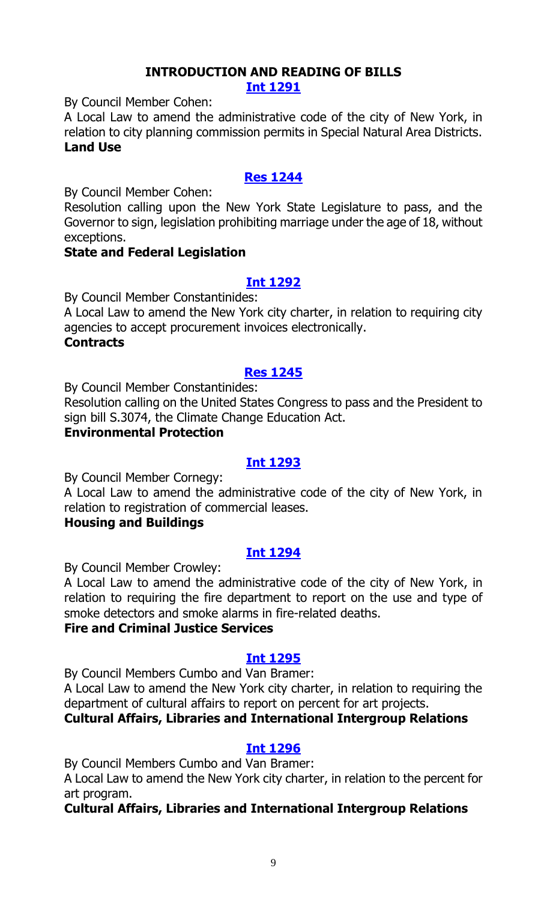# **INTRODUCTION AND READING OF BILLS**

**[Int 1291](http://legistar.council.nyc.gov/LegislationDetail.aspx?ID=2858174&GUID=F3526568-DD2B-4231-B66E-10B89BE4EFDD&Options=ID|&Search=)**

By Council Member Cohen:

A Local Law to amend the administrative code of the city of New York, in relation to city planning commission permits in Special Natural Area Districts. **Land Use**

# **[Res 1244](http://legistar.council.nyc.gov/LegislationDetail.aspx?ID=2858173&GUID=BDD84884-34CB-4F83-A8F7-63096B4D4FAE&Options=ID%7c&Search=)**

By Council Member Cohen:

Resolution calling upon the New York State Legislature to pass, and the Governor to sign, legislation prohibiting marriage under the age of 18, without exceptions.

#### **State and Federal Legislation**

## **[Int 1292](http://legistar.council.nyc.gov/LegislationDetail.aspx?ID=2858175&GUID=4A2B57B3-9D50-4BF7-8446-692B04334FF5&Options=ID|&Search=)**

By Council Member Constantinides:

A Local Law to amend the New York city charter, in relation to requiring city agencies to accept procurement invoices electronically.

#### **Contracts**

#### **[Res 1245](http://legistar.council.nyc.gov/LegislationDetail.aspx?ID=2858017&GUID=499D774E-D3AD-415B-ABE7-89E075403568&Options=ID|&Search=)**

By Council Member Constantinides:

Resolution calling on the United States Congress to pass and the President to sign bill S.3074, the Climate Change Education Act.

# **Environmental Protection**

#### **[Int 1293](http://legistar.council.nyc.gov/LegislationDetail.aspx?ID=2858188&GUID=66758679-6095-4F66-B255-BCFE61A7AE8F&Options=ID|&Search=)**

By Council Member Cornegy:

A Local Law to amend the administrative code of the city of New York, in relation to registration of commercial leases.

#### **Housing and Buildings**

## **[Int 1294](http://legistar.council.nyc.gov/LegislationDetail.aspx?ID=2858189&GUID=A1F90F42-F939-41F1-9E2A-737036939DB1&Options=ID|&Search=)**

By Council Member Crowley:

A Local Law to amend the administrative code of the city of New York, in relation to requiring the fire department to report on the use and type of smoke detectors and smoke alarms in fire-related deaths.

## **Fire and Criminal Justice Services**

## **[Int 1295](http://legistar.council.nyc.gov/LegislationDetail.aspx?ID=2856605&GUID=034D3EF8-65CB-403C-B315-0459DD603437&Options=ID|&Search=)**

By Council Members Cumbo and Van Bramer:

A Local Law to amend the New York city charter, in relation to requiring the department of cultural affairs to report on percent for art projects.

## **Cultural Affairs, Libraries and International Intergroup Relations**

#### **[Int 1296](http://legistar.council.nyc.gov/LegislationDetail.aspx?ID=2845907&GUID=9309BFC8-E008-4711-B28D-C2E4DD72A915&Options=ID|&Search=)**

By Council Members Cumbo and Van Bramer:

A Local Law to amend the New York city charter, in relation to the percent for art program.

#### **Cultural Affairs, Libraries and International Intergroup Relations**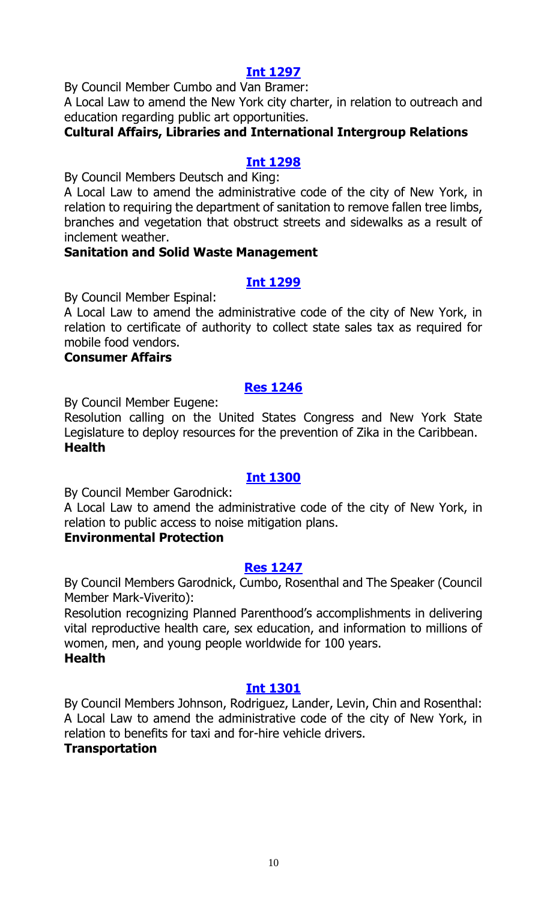#### **[Int 1297](http://legistar.council.nyc.gov/LegislationDetail.aspx?ID=2855583&GUID=96282ED6-C159-4CB5-87D1-763FE95B2526&Options=ID|&Search=)**

By Council Member Cumbo and Van Bramer:

A Local Law to amend the New York city charter, in relation to outreach and education regarding public art opportunities.

#### **Cultural Affairs, Libraries and International Intergroup Relations**

#### **[Int 1298](http://legistar.council.nyc.gov/LegislationDetail.aspx?ID=2858230&GUID=963DC7E6-5957-4BAA-96CE-B54DC50D5C55&Options=ID|&Search=)**

By Council Members Deutsch and King:

A Local Law to amend the administrative code of the city of New York, in relation to requiring the department of sanitation to remove fallen tree limbs, branches and vegetation that obstruct streets and sidewalks as a result of inclement weather.

#### **Sanitation and Solid Waste Management**

#### **[Int 1299](http://legistar.council.nyc.gov/LegislationDetail.aspx?ID=2858233&GUID=DA23BF06-8D41-4AC8-A0D9-65D769503B4B&Options=ID|&Search=)**

By Council Member Espinal:

A Local Law to amend the administrative code of the city of New York, in relation to certificate of authority to collect state sales tax as required for mobile food vendors.

#### **Consumer Affairs**

#### **[Res 1246](http://legistar.council.nyc.gov/LegislationDetail.aspx?ID=2858231&GUID=B28F741A-323A-43CB-9AC9-4250A6944B7F&Options=ID|&Search=)**

By Council Member Eugene:

Resolution calling on the United States Congress and New York State Legislature to deploy resources for the prevention of Zika in the Caribbean. **Health** 

#### **[Int 1300](http://legistar.council.nyc.gov/LegislationDetail.aspx?ID=2858229&GUID=21B486A2-BF64-4C7D-A858-5707A07AA2E9&Options=ID|&Search=)**

By Council Member Garodnick:

A Local Law to amend the administrative code of the city of New York, in relation to public access to noise mitigation plans.

#### **Environmental Protection**

#### **[Res 1247](http://legistar.council.nyc.gov/LegislationDetail.aspx?ID=2858232&GUID=FA307AD7-435D-4B96-A19E-0E7E5B2C1933&Options=ID|&Search=)**

By Council Members Garodnick, Cumbo, Rosenthal and The Speaker (Council Member Mark-Viverito):

Resolution recognizing Planned Parenthood's accomplishments in delivering vital reproductive health care, sex education, and information to millions of women, men, and young people worldwide for 100 years. **Health**

#### **Int [1301](http://legistar.council.nyc.gov/LegislationDetail.aspx?ID=2858228&GUID=79FD63F6-B063-4F02-B714-1AA41E9BC073&Options=ID|&Search=)**

By Council Members Johnson, Rodriguez, Lander, Levin, Chin and Rosenthal: A Local Law to amend the administrative code of the city of New York, in relation to benefits for taxi and for-hire vehicle drivers.

#### **Transportation**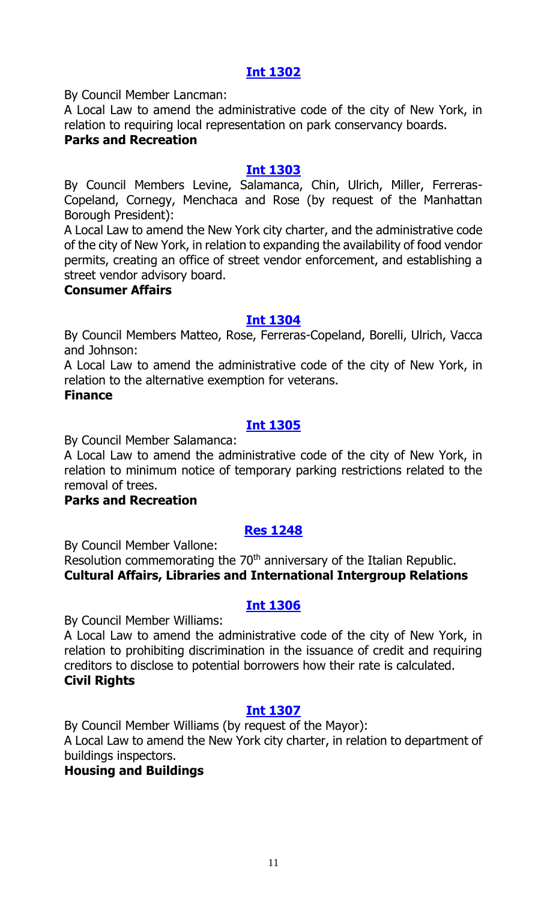# **[Int 1302](http://legistar.council.nyc.gov/LegislationDetail.aspx?ID=2858235&GUID=3AD14923-F958-4995-9BBD-23BD1B084270&Options=ID|&Search=)**

By Council Member Lancman:

A Local Law to amend the administrative code of the city of New York, in relation to requiring local representation on park conservancy boards.

#### **Parks and Recreation**

#### **[Int 1303](http://legistar.council.nyc.gov/LegislationDetail.aspx?ID=2858236&GUID=EFEAD05C-4A4E-47E3-ACDA-ADEAA0FB3F2A&Options=ID|&Search=)**

By Council Members Levine, Salamanca, Chin, Ulrich, Miller, Ferreras-Copeland, Cornegy, Menchaca and Rose (by request of the Manhattan Borough President):

A Local Law to amend the New York city charter, and the administrative code of the city of New York, in relation to expanding the availability of food vendor permits, creating an office of street vendor enforcement, and establishing a street vendor advisory board.

#### **Consumer Affairs**

#### **[Int 1304](http://legistar.council.nyc.gov/LegislationDetail.aspx?ID=2858255&GUID=D913311C-1C49-4703-BB5C-C3F3229167B1&Options=ID|&Search=)**

By Council Members Matteo, Rose, Ferreras-Copeland, Borelli, Ulrich, Vacca and Johnson:

A Local Law to amend the administrative code of the city of New York, in relation to the alternative exemption for veterans.

#### **Finance**

#### **[Int 1305](http://legistar.council.nyc.gov/LegislationDetail.aspx?ID=2855584&GUID=A8BE4F78-D5EC-4F9A-B65E-20C0AEB93184&Options=ID|&Search=)**

By Council Member Salamanca:

A Local Law to amend the administrative code of the city of New York, in relation to minimum notice of temporary parking restrictions related to the removal of trees.

#### **Parks and Recreation**

## **[Res 1248](http://legistar.council.nyc.gov/LegislationDetail.aspx?ID=2858253&GUID=254639EA-7BF1-45B4-BA0F-790E9BB848AF&Options=ID|&Search=)**

By Council Member Vallone:

Resolution commemorating the 70<sup>th</sup> anniversary of the Italian Republic. **Cultural Affairs, Libraries and International Intergroup Relations**

#### **[Int 1306](http://legistar.council.nyc.gov/LegislationDetail.aspx?ID=2858252&GUID=D0D73A4F-45ED-4111-9803-D2B882C90DC2&Options=ID|&Search=)**

By Council Member Williams:

A Local Law to amend the administrative code of the city of New York, in relation to prohibiting discrimination in the issuance of credit and requiring creditors to disclose to potential borrowers how their rate is calculated. **Civil Rights**

#### **[Int 1307](http://legistar.council.nyc.gov/LegislationDetail.aspx?ID=2858254&GUID=4D0914D6-6F60-48F1-BE57-ED9B94C5F7C0&Options=ID|&Search=)**

By Council Member Williams (by request of the Mayor): A Local Law to amend the New York city charter, in relation to department of buildings inspectors.

#### **Housing and Buildings**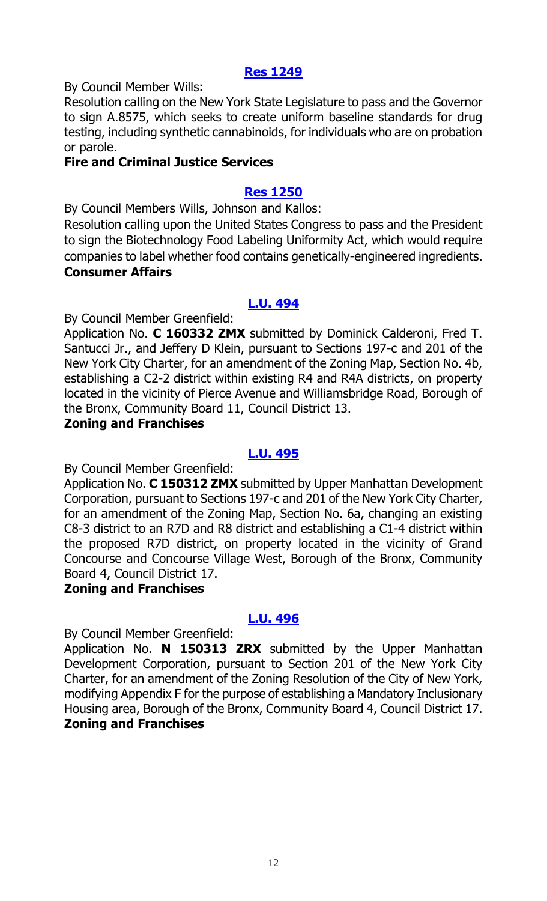#### **[Res 1249](http://legistar.council.nyc.gov/LegislationDetail.aspx?ID=2858259&GUID=DE70B30C-C210-45F6-8266-78305BC21B93&Options=ID|&Search=)**

By Council Member Wills:

Resolution calling on the New York State Legislature to pass and the Governor to sign A.8575, which seeks to create uniform baseline standards for drug testing, including synthetic cannabinoids, for individuals who are on probation or parole.

#### **Fire and Criminal Justice Services**

#### **[Res 1250](http://legistar.council.nyc.gov/LegislationDetail.aspx?ID=2858260&GUID=DD46AAB1-7D44-40C5-851B-FF3406AB5CAE&Options=ID%7c&Search=)**

By Council Members Wills, Johnson and Kallos:

Resolution calling upon the United States Congress to pass and the President to sign the Biotechnology Food Labeling Uniformity Act, which would require companies to label whether food contains genetically-engineered ingredients. **Consumer Affairs**

## **[L.U. 494](http://legistar.council.nyc.gov/LegislationDetail.aspx?ID=2858261&GUID=53112AF7-6FC4-4CEB-B91F-5B4BF7CE2147&Options=ID|&Search=)**

By Council Member Greenfield:

Application No. **C 160332 ZMX** submitted by Dominick Calderoni, Fred T. Santucci Jr., and Jeffery D Klein, pursuant to Sections 197-c and 201 of the New York City Charter, for an amendment of the Zoning Map, Section No. 4b, establishing a C2-2 district within existing R4 and R4A districts, on property located in the vicinity of Pierce Avenue and Williamsbridge Road, Borough of the Bronx, Community Board 11, Council District 13.

#### **Zoning and Franchises**

## **[L.U. 495](http://legistar.council.nyc.gov/LegislationDetail.aspx?ID=2858262&GUID=5C00FF30-8163-42CE-8BBD-C7FCCB4B7081&Options=ID|&Search=)**

By Council Member Greenfield:

Application No. **C 150312 ZMX** submitted by Upper Manhattan Development Corporation, pursuant to Sections 197-c and 201 of the New York City Charter, for an amendment of the Zoning Map, Section No. 6a, changing an existing C8-3 district to an R7D and R8 district and establishing a C1-4 district within the proposed R7D district, on property located in the vicinity of Grand Concourse and Concourse Village West, Borough of the Bronx, Community Board 4, Council District 17.

#### **Zoning and Franchises**

## **[L.U. 496](http://legistar.council.nyc.gov/LegislationDetail.aspx?ID=2858263&GUID=F3AB6C80-E449-44E2-A501-A17F09918BD4&Options=ID|&Search=)**

By Council Member Greenfield:

Application No. **N 150313 ZRX** submitted by the Upper Manhattan Development Corporation, pursuant to Section 201 of the New York City Charter, for an amendment of the Zoning Resolution of the City of New York, modifying Appendix F for the purpose of establishing a Mandatory Inclusionary Housing area, Borough of the Bronx, Community Board 4, Council District 17. **Zoning and Franchises**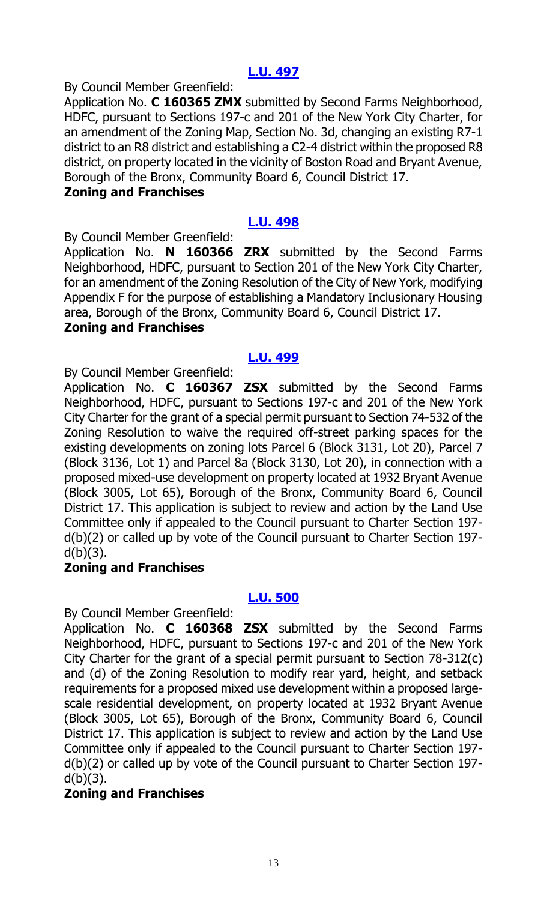# **[L.U. 497](http://legistar.council.nyc.gov/LegislationDetail.aspx?ID=2858264&GUID=FC2EBD6E-3A77-4529-947B-C7BDA4996F2D&Options=ID|&Search=)**

By Council Member Greenfield:

Application No. **C 160365 ZMX** submitted by Second Farms Neighborhood, HDFC, pursuant to Sections 197-c and 201 of the New York City Charter, for an amendment of the Zoning Map, Section No. 3d, changing an existing R7-1 district to an R8 district and establishing a C2-4 district within the proposed R8 district, on property located in the vicinity of Boston Road and Bryant Avenue, Borough of the Bronx, Community Board 6, Council District 17.

#### **Zoning and Franchises**

#### **[L.U. 498](http://legistar.council.nyc.gov/LegislationDetail.aspx?ID=2858265&GUID=7F7F5DE7-734B-47DB-9A06-54CD3EE280E8&Options=ID|&Search=)**

By Council Member Greenfield:

Application No. **N 160366 ZRX** submitted by the Second Farms Neighborhood, HDFC, pursuant to Section 201 of the New York City Charter, for an amendment of the Zoning Resolution of the City of New York, modifying Appendix F for the purpose of establishing a Mandatory Inclusionary Housing area, Borough of the Bronx, Community Board 6, Council District 17.

#### **Zoning and Franchises**

#### **[L.U. 499](http://legistar.council.nyc.gov/LegislationDetail.aspx?ID=2858302&GUID=B1A7E57D-761E-4E11-A7D6-E7B32B2BA482&Options=ID|&Search=)**

By Council Member Greenfield:

Application No. **C 160367 ZSX** submitted by the Second Farms Neighborhood, HDFC, pursuant to Sections 197-c and 201 of the New York City Charter for the grant of a special permit pursuant to Section 74-532 of the Zoning Resolution to waive the required off-street parking spaces for the existing developments on zoning lots Parcel 6 (Block 3131, Lot 20), Parcel 7 (Block 3136, Lot 1) and Parcel 8a (Block 3130, Lot 20), in connection with a proposed mixed-use development on property located at 1932 Bryant Avenue (Block 3005, Lot 65), Borough of the Bronx, Community Board 6, Council District 17. This application is subject to review and action by the Land Use Committee only if appealed to the Council pursuant to Charter Section 197 d(b)(2) or called up by vote of the Council pursuant to Charter Section 197  $d(b)(3)$ .

#### **Zoning and Franchises**

#### **[L.U. 500](http://legistar.council.nyc.gov/LegislationDetail.aspx?ID=2858303&GUID=14700F92-22B2-4A11-8B79-C66C026D7F9C&Options=ID|&Search=)**

By Council Member Greenfield:

Application No. **C 160368 ZSX** submitted by the Second Farms Neighborhood, HDFC, pursuant to Sections 197-c and 201 of the New York City Charter for the grant of a special permit pursuant to Section 78-312(c) and (d) of the Zoning Resolution to modify rear yard, height, and setback requirements for a proposed mixed use development within a proposed largescale residential development, on property located at 1932 Bryant Avenue (Block 3005, Lot 65), Borough of the Bronx, Community Board 6, Council District 17. This application is subject to review and action by the Land Use Committee only if appealed to the Council pursuant to Charter Section 197 d(b)(2) or called up by vote of the Council pursuant to Charter Section 197  $d(b)(3)$ .

#### **Zoning and Franchises**